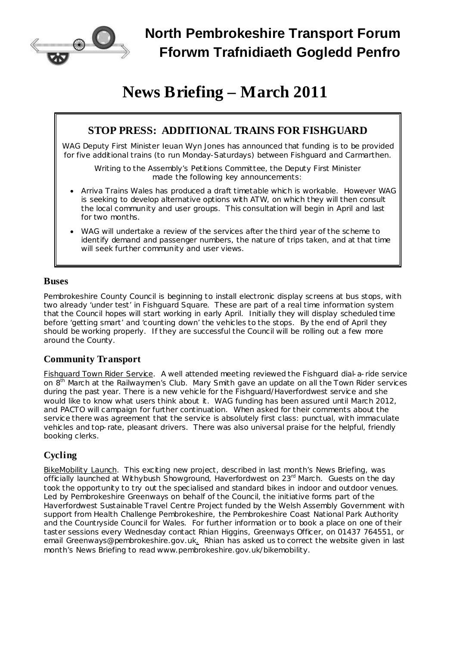

# **North Pembrokeshire Transport Forum Fforwm Trafnidiaeth Gogledd Penfro**

# **News Briefing – March 2011**

# **STOP PRESS: ADDITIONAL TRAINS FOR FISHGUARD**

WAG Deputy First Minister Ieuan Wyn Jones has announced that funding is to be provided for five additional trains (to run Monday-Saturdays) between Fishguard and Carmarthen.

Writing to the Assembly's Petitions Committee, the Deputy First Minister made the following key announcements:

- · Arriva Trains Wales has produced a draft timetable which is workable. However WAG is seeking to develop alternative options with ATW, on which they will then consult the local community and user groups. This consultation will begin in April and last for two months.
- · WAG will undertake a review of the services after the third year of the scheme to identify demand and passenger numbers, the nature of trips taken, and at that time will seek further community and user views.

#### **Buses**

Pembrokeshire County Council is beginning to install electronic display screens at bus stops, with two already 'under test' in Fishguard Square. These are part of a real time information system that the Council hopes will start working in early April. Initially they will display scheduled time before 'getting smart' and 'counting down' the vehicles to the stops. By the end of April they should be working properly. If they are successful the Council will be rolling out a few more around the County.

# **Community Transport**

Fishguard Town Rider Service. A well attended meeting reviewed the Fishguard dial-a-ride service on 8<sup>th</sup> March at the Railwaymen's Club. Mary Smith gave an update on all the Town Rider services during the past year. There is a new vehicle for the Fishguard/Haverfordwest service and she would like to know what users think about it. WAG funding has been assured until March 2012, and PACTO will campaign for further continuation. When asked for their comments about the service there was agreement that the service is absolutely first class: punctual, with immaculate vehicles and top-rate, pleasant drivers. There was also universal praise for the helpful, friendly booking clerks.

# **Cycling**

BikeMobility Launch. This exciting new project, described in last month's News Briefing, was officially launched at Withybush Showground, Haverfordwest on 23<sup>rd</sup> March. Guests on the day took the opportunity to try out the specialised and standard bikes in indoor and outdoor venues. Led by Pembrokeshire Greenways on behalf of the Council, the initiative forms part of the Haverfordwest Sustainable Travel Centre Project funded by the Welsh Assembly Government with support from Health Challenge Pembrokeshire, the Pembrokeshire Coast National Park Authority and the Countryside Council for Wales. For further information or to book a place on one of their taster sessions every Wednesday contact Rhian Higgins, Greenways Officer, on 01437 764551, or email [Greenways@pembrokeshire.gov.uk.](mailto:Greenways@pembrokeshire.gov.uk) Rhian has asked us to correct the website given in last month's News Briefing to read [www.pembrokeshire.gov.uk/bikemobility.](http://www.pembrokeshire.gov.uk/bikemobility)